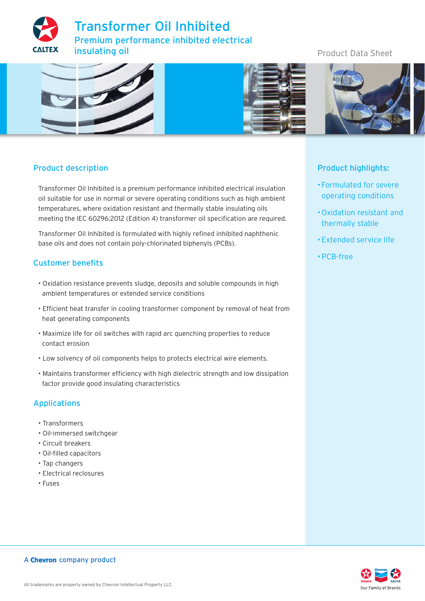



# Product description

Transformer Oil Inhibited is a premium performance inhibited electrical insulation oil suitable for use in normal or severe operating conditions such as high ambient temperatures, where oxidation resistant and thermally stable insulating oils meeting the IEC 60296:2012 (Edition 4) transformer oil specification are required.

Transformer Oil Inhibited is formulated with highly refined inhibited naphthenic base oils and does not contain poly-chlorinated biphenyls (PCBs).

### Customer benefits

- Oxidation resistance prevents sludge, deposits and soluble compounds in high ambient temperatures or extended service conditions
- Efficient heat transfer in cooling transformer component by removal of heat from heat generating components
- Maximize life for oil switches with rapid arc quenching properties to reduce contact erosion
- Low solvency of oil components helps to protects electrical wire elements.
- Maintains transformer efficiency with high dielectric strength and low dissipation factor provide good insulating characteristics

# Applications

- Transformers
- Oil-immersed switchgear
- Circuit breakers
- Oil-filled capacitors
- Tap changers
- Electrical reclosures
- Fuses

# Product highlights:

- Formulated for severe operating conditions
- Oxidation resistant and thermally stable
- Extended service life
- PCB-free

# Product Data Sheet